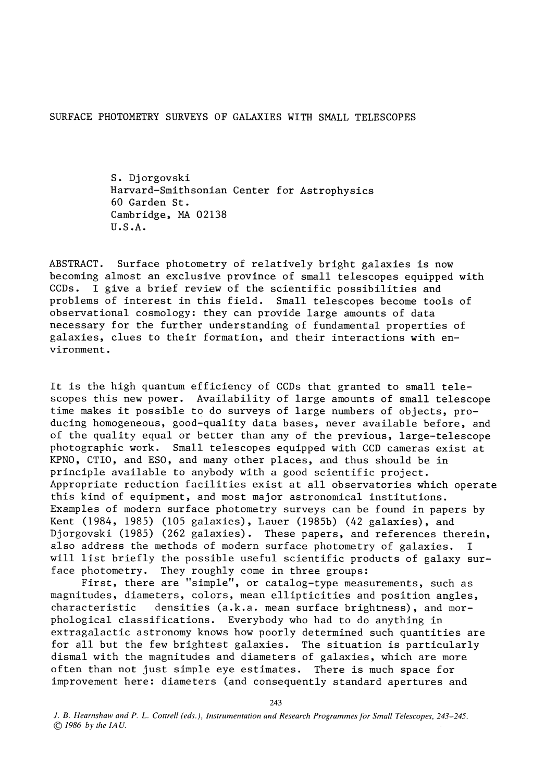SURFACE PHOTOMETRY SURVEYS OF GALAXIES WITH SMALL TELESCOPES

S. Djorgovski Harvard-Smithsonian Center for Astrophysics 60 Garden St. Cambridge, MA 02138 U.S.A.

ABSTRACT. Surface photometry of relatively bright galaxies is now becoming almost an exclusive province of small telescopes equipped with CCDs. I give a brief review of the scientific possibilities and problems of interest in this field. Small telescopes become tools of observational cosmology: they can provide large amounts of data necessary for the further understanding of fundamental properties of galaxies, clues to their formation, and their interactions with environment.

It is the high quantum efficiency of CCDs that granted to small telescopes this new power. Availability of large amounts of small telescope time makes it possible to do surveys of large numbers of objects, producing homogeneous, good-quality data bases, never available before, and of the quality equal or better than any of the previous, large-telescope photographic work. Small telescopes equipped with CCD cameras exist at KPNO, CTIO, and ESO, and many other places, and thus should be in principle available to anybody with a good scientific project. Appropriate reduction facilities exist at all observatories which operate this kind of equipment, and most major astronomical institutions. Examples of modern surface photometry surveys can be found in papers by Kent (1984, 1985) (105 galaxies), Lauer (1985b) (42 galaxies), and Djorgovski (1985) (262 galaxies). These papers, and references therein, also address the methods of modern surface photometry of galaxies. I will list briefly the possible useful scientific products of galaxy surface photometry. They roughly come in three groups:

First, there are "simple", or catalog-type measurements, such as magnitudes, diameters, colors, mean ellipticities and position angles, characteristic densities (a.k.a. mean surface brightness), and morphological classifications. Everybody who had to do anything in extragalactic astronomy knows how poorly determined such quantities are for all but the few brightest galaxies. The situation is particularly dismal with the magnitudes and diameters of galaxies, which are more often than not just simple eye estimates. There is much space for improvement here: diameters (and consequently standard apertures and

*1. B. Hearnshaw and P. L. Cottrell (eds.), Instrumentation and Research Programmes for Small Telescopes, 243-245.*  © /986 *by the IAU.*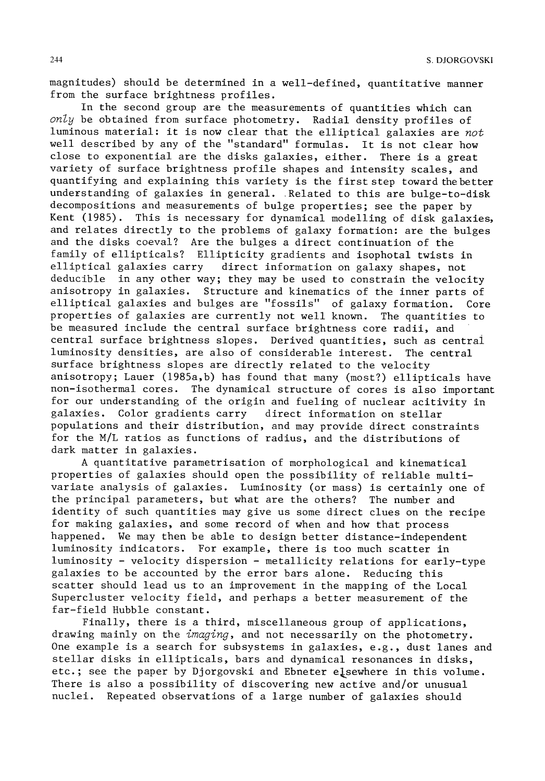magnitudes) should be determined in a well-defined, quantitative manner from the surface brightness profiles.

In the second group are the measurements of quantities which can *only* be obtained from surface photometry. Radial density profiles of luminous material: it is now clear that the elliptical galaxies are *not*  well described by any of the "standard" formulas. It is not clear how close to exponential are the disks galaxies, either. There is a great variety of surface brightness profile shapes and intensity scales, and quantifying and explaining this variety is the first step toward the better understanding of galaxies in general. Related to this are bulge-to-disk decompositions and measurements of bulge properties; see the paper by Kent (1985). This is necessary for dynamical modelling of disk galaxies, and relates directly to the problems of galaxy formation: are the bulges and the disks coeval? Are the bulges a direct continuation of the family of ellipticals? Ellipticity gradients and isophotal twists in elliptical galaxies carry direct information on galaxy shapes, not direct information on galaxy shapes, not deducible in any other way; they may be used to constrain the velocity anisotropy in galaxies. Structure and kinematics of the inner parts of elliptical galaxies and bulges are "fossils" of galaxy formation. Core properties of galaxies are currently not well known. The quantities to be measured include the central surface brightness core radii, and central surface brightness slopes. Derived quantities, such as centrai luminosity densities, are also of considerable interest. The central surface brightness slopes are directly related to the velocity anisotropy; Lauer (1985a,b) has found that many (most?) ellipticals have non-isothermal cores. The dynamical structure of cores is also important for our understanding of the origin and fueling of nuclear acitivity in galaxies. Color gradients carry direct information on stellar populations and their distribution, and may provide direct constraints for the M/L ratios as functions of radius, and the distributions of dark matter in galaxies.

A quantitative parametrisation of morphological and kinematical properties of galaxies should open the possibility of reliable multivariate analysis of galaxies. Luminosity (or mass) is certainly one of the principal parameters, but what are the others? The number and identity of such quantities may give us some direct clues on the recipe for making galaxies, and some record of when and how that process happened. We may then be able to design better distance-independent luminosity indicators. For example, there is too much scatter in luminosity - velocity dispersion - metallicity relations for early-type galaxies to be accounted by the error bars alone. Reducing this scatter should lead us to an improvement in the mapping of the Local Supercluster velocity field, and perhaps a better measurement of the far-field Hubble constant.

Finally, there is a third, miscellaneous group of applications, drawing mainly on the *imaging,* and not necessarily on the photometry. One example is a search for subsystems in galaxies, e.g., dust lanes and stellar disks in ellipticals, bars and dynamical resonances in disks, etc.; see the paper by Djorgovski and Ebneter elsewhere in this volume. There is also a possibility of discovering new active and/or unusual nuclei. Repeated observations of a large number of galaxies should